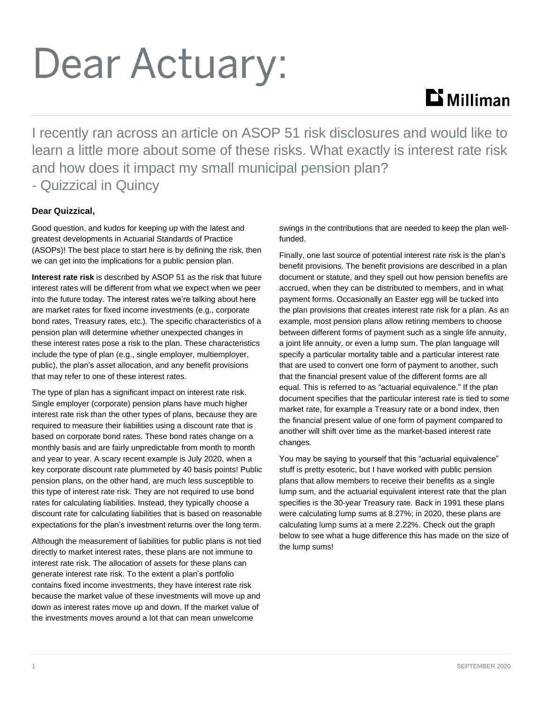# Dear Actuary:

## $\mathbf{D}$  Milliman

I recently ran across an article on ASOP 51 risk disclosures and would like to learn a little more about some of these risks. What exactly is interest rate risk and how does it impact my small municipal pension plan? *-* Quizzical in Quincy

### **Dear Quizzical,**

Good question, and kudos for keeping up with the latest and greatest developments in Actuarial Standards of Practice (ASOPs)! The best place to start here is by defining the risk, then we can get into the implications for a public pension plan.

**Interest rate risk** is described by ASOP 51 as the risk that future interest rates will be different from what we expect when we peer into the future today. The interest rates we're talking about here are market rates for fixed income investments (e.g., corporate bond rates, Treasury rates, etc.). The specific characteristics of a pension plan will determine whether unexpected changes in these interest rates pose a risk to the plan. These characteristics include the type of plan (e.g., single employer, multiemployer, public), the plan's asset allocation, and any benefit provisions that may refer to one of these interest rates.

The type of plan has a significant impact on interest rate risk. Single employer (corporate) pension plans have much higher interest rate risk than the other types of plans, because they are required to measure their liabilities using a discount rate that is based on corporate bond rates. These bond rates change on a monthly basis and are fairly unpredictable from month to month and year to year. A scary recent example is July 2020, when a key corporate discount rate plummeted by 40 basis points! Public pension plans, on the other hand, are much less susceptible to this type of interest rate risk. They are not required to use bond rates for calculating liabilities. Instead, they typically choose a discount rate for calculating liabilities that is based on reasonable expectations for the plan's investment returns over the long term.

Although the measurement of liabilities for public plans is not tied directly to market interest rates, these plans are not immune to interest rate risk. The allocation of assets for these plans can generate interest rate risk. To the extent a plan's portfolio contains fixed income investments, they have interest rate risk because the market value of these investments will move up and down as interest rates move up and down. If the market value of the investments moves around a lot that can mean unwelcome

swings in the contributions that are needed to keep the plan wellfunded.

Finally, one last source of potential interest rate risk is the plan's benefit provisions. The benefit provisions are described in a plan document or statute, and they spell out how pension benefits are accrued, when they can be distributed to members, and in what payment forms. Occasionally an Easter egg will be tucked into the plan provisions that creates interest rate risk for a plan. As an example, most pension plans allow retiring members to choose between different forms of payment such as a single life annuity, a joint life annuity, or even a lump sum. The plan language will specify a particular mortality table and a particular interest rate that are used to convert one form of payment to another, such that the financial present value of the different forms are all equal. This is referred to as "actuarial equivalence." If the plan document specifies that the particular interest rate is tied to some market rate, for example a Treasury rate or a bond index, then the financial present value of one form of payment compared to another will shift over time as the market-based interest rate changes.

You may be saying to yourself that this "actuarial equivalence" stuff is pretty esoteric, but I have worked with public pension plans that allow members to receive their benefits as a single lump sum, and the actuarial equivalent interest rate that the plan specifies is the 30-year Treasury rate. Back in 1991 these plans were calculating lump sums at 8.27%; in 2020, these plans are calculating lump sums at a mere 2.22%. Check out the graph below to see what a huge difference this has made on the size of the lump sums!